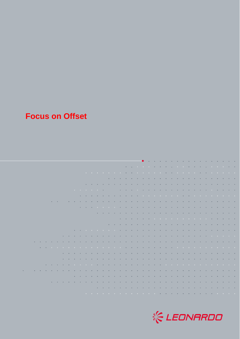## **Focus on Offset**

|  |  |  |  |  |  |  |  |  |  |  |  | the contract of the contract of the contract of the contract of the contract of the contract of the contract of                                                                                                               |  |  |  |  |  |  |
|--|--|--|--|--|--|--|--|--|--|--|--|-------------------------------------------------------------------------------------------------------------------------------------------------------------------------------------------------------------------------------|--|--|--|--|--|--|
|  |  |  |  |  |  |  |  |  |  |  |  |                                                                                                                                                                                                                               |  |  |  |  |  |  |
|  |  |  |  |  |  |  |  |  |  |  |  |                                                                                                                                                                                                                               |  |  |  |  |  |  |
|  |  |  |  |  |  |  |  |  |  |  |  | in the company of the company of the company of the company of the company of the company of the company of the                                                                                                               |  |  |  |  |  |  |
|  |  |  |  |  |  |  |  |  |  |  |  |                                                                                                                                                                                                                               |  |  |  |  |  |  |
|  |  |  |  |  |  |  |  |  |  |  |  |                                                                                                                                                                                                                               |  |  |  |  |  |  |
|  |  |  |  |  |  |  |  |  |  |  |  |                                                                                                                                                                                                                               |  |  |  |  |  |  |
|  |  |  |  |  |  |  |  |  |  |  |  | . A concert a concert activities of the concert and a concert activities of the concert and a concert and                                                                                                                     |  |  |  |  |  |  |
|  |  |  |  |  |  |  |  |  |  |  |  |                                                                                                                                                                                                                               |  |  |  |  |  |  |
|  |  |  |  |  |  |  |  |  |  |  |  | a constitution of the constitution of the constitution of the constitution of the constitution of the constitution of the constitution of the constitution of the constitution of the constitution of the constitution of the |  |  |  |  |  |  |
|  |  |  |  |  |  |  |  |  |  |  |  | the company of the company of the company of the company of the company of the company of the company of the company of the company of the company of the company of the company of the company of the company of the company |  |  |  |  |  |  |
|  |  |  |  |  |  |  |  |  |  |  |  |                                                                                                                                                                                                                               |  |  |  |  |  |  |
|  |  |  |  |  |  |  |  |  |  |  |  | the contract of the contract of the contract of the contract of the contract of the contract of the contract of                                                                                                               |  |  |  |  |  |  |
|  |  |  |  |  |  |  |  |  |  |  |  | the company of the company of the company of the company of the company of the company of the company of the company of the company of the company of the company of the company of the company of the company of the company |  |  |  |  |  |  |
|  |  |  |  |  |  |  |  |  |  |  |  | the company of the company of the company of the company of the company of the company of the company of the company                                                                                                          |  |  |  |  |  |  |
|  |  |  |  |  |  |  |  |  |  |  |  | a car a car a car a car a car a car a car a car a car a car a car a car a car a car a car a car a car a car a c                                                                                                               |  |  |  |  |  |  |
|  |  |  |  |  |  |  |  |  |  |  |  |                                                                                                                                                                                                                               |  |  |  |  |  |  |
|  |  |  |  |  |  |  |  |  |  |  |  | a concerta con casa de la casa de la casa de la casa de la casa de la casa de la casa de la casa de la casa de                                                                                                                |  |  |  |  |  |  |
|  |  |  |  |  |  |  |  |  |  |  |  |                                                                                                                                                                                                                               |  |  |  |  |  |  |
|  |  |  |  |  |  |  |  |  |  |  |  | the company of the company of the company of the company of the company of the company of the company of the company                                                                                                          |  |  |  |  |  |  |
|  |  |  |  |  |  |  |  |  |  |  |  |                                                                                                                                                                                                                               |  |  |  |  |  |  |
|  |  |  |  |  |  |  |  |  |  |  |  | a carracter a carracter a carracter a carracter a carracter a carracter a carracter a carracter a carracter a                                                                                                                 |  |  |  |  |  |  |
|  |  |  |  |  |  |  |  |  |  |  |  | . The contract of the contract of the contract of the contract of the contract of the contract of the contract                                                                                                                |  |  |  |  |  |  |
|  |  |  |  |  |  |  |  |  |  |  |  | a concerta con concerta con concerta con concerta con concerta con concerta con concerta con concerta con conce                                                                                                               |  |  |  |  |  |  |
|  |  |  |  |  |  |  |  |  |  |  |  | a constitution of the constitution of the constitution of the constitution of the constitution of the constitution                                                                                                            |  |  |  |  |  |  |
|  |  |  |  |  |  |  |  |  |  |  |  |                                                                                                                                                                                                                               |  |  |  |  |  |  |
|  |  |  |  |  |  |  |  |  |  |  |  | the company of the company of the company of the company of the company of the company of the company of the company of the company of the company of the company of the company of the company of the company of the company |  |  |  |  |  |  |

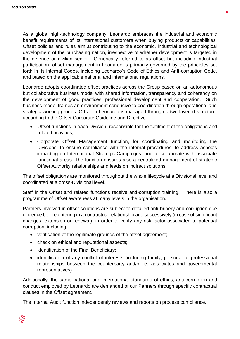As a global high-technology company, Leonardo embraces the industrial and economic benefit requirements of its international customers when buying products or capabilities. Offset policies and rules aim at contributing to the economic, industrial and technological development of the purchasing nation, irrespective of whether development is targeted in the defence or civilian sector. Generically referred to as offset but including industrial participation, offset management in Leonardo is primarily governed by the principles set forth in its internal Codes, including Leonardo's Code of Ethics and Anti-corruption Code, and based on the applicable national and international regulations.

Leonardo adopts coordinated offset practices across the Group based on an autonomous but collaborative business model with shared information, transparency and coherency on the development of good practices, professional development and cooperation. Such business model frames an environment conducive to coordination through operational and strategic working groups. Offset in Leonardo is managed through a two layered structure, according to the Offset Corporate Guideline and Directive:

- Offset functions in each Division, responsible for the fulfilment of the obligations and related activities;
- Corporate Offset Management function, for coordinating and monitoring the Divisions; to ensure compliance with the internal procedures; to address aspects impacting on International Strategic Campaigns, and to collaborate with associate functional areas. The function ensures also a centralized management of strategic Offset Authority relationships and leads on indirect solutions.

The offset obligations are monitored throughout the whole lifecycle at a Divisional level and coordinated at a cross-Divisional level.

Staff in the Offset and related functions receive anti-corruption training. There is also a programme of Offset awareness at many levels in the organisation.

Partners involved in offset solutions are subject to detailed anti-bribery and corruption due diligence before entering in a contractual relationship and successively (in case of significant changes, extension or renewal), in order to verify any risk factor associated to potential corruption, including:

- verification of the legitimate grounds of the offset agreement;
- check on ethical and reputational aspects;
- identification of the Final Beneficiary;
- identification of any conflict of interests (including family, personal or professional relationships between the counterparty and/or its associates and governmental representatives).

Additionally, the same national and international standards of ethics, anti-corruption and conduct employed by Leonardo are demanded of our Partners through specific contractual clauses in the Offset agreement.

The Internal Audit function independently reviews and reports on process compliance.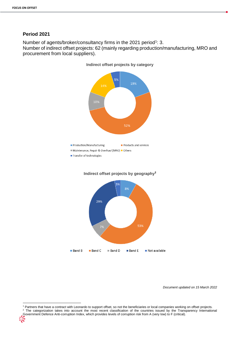**.** 

## **Period 2021**

Number of agents/broker/consultancy firms in the 2021 period<sup>1</sup>: 3.

Number of indirect offset projects: 62 (mainly regarding production/manufacturing, MRO and procurement from local suppliers).







*Document updated on 15 March 2022*

<sup>1</sup> Partners that have a contract with Leonardo to support offset, so not the beneficiaries or local companies working on offset projects. <sup>2</sup> The categorization takes into account the most recent classification of the countries issued by the Transparency International Government Defence Anti-corruption Index, which provides levels of corruption risk from A (very low) to F (critical).